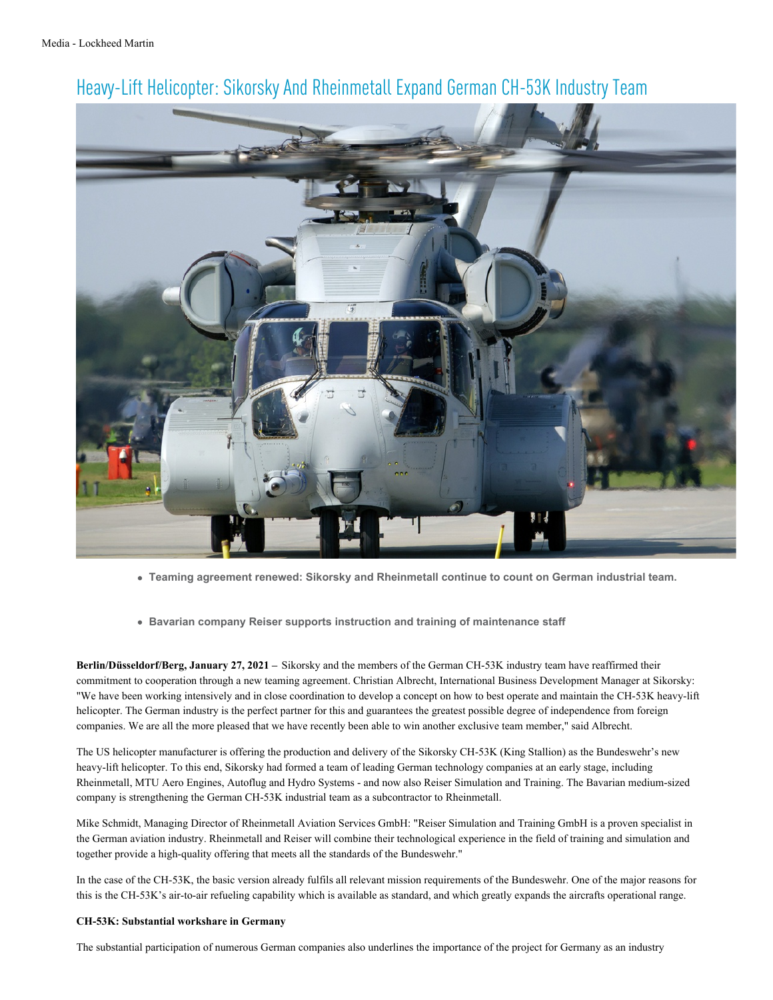

## Heavy-Lift Helicopter: Sikorsky And Rheinmetall Expand German CH-53K Industry Team

- **Teaming agreement renewed: Sikorsky and Rheinmetall continue to count on German industrial team.**
- **Bavarian company Reiser supports instruction and training of maintenance staff**

**Berlin/Düsseldorf/Berg, January 27, 2021 –** Sikorsky and the members of the German CH-53K industry team have reaffirmed their commitment to cooperation through a new teaming agreement. Christian Albrecht, International Business Development Manager at Sikorsky: "We have been working intensively and in close coordination to develop a concept on how to best operate and maintain the CH-53K heavy-lift helicopter. The German industry is the perfect partner for this and guarantees the greatest possible degree of independence from foreign companies. We are all the more pleased that we have recently been able to win another exclusive team member," said Albrecht.

The US helicopter manufacturer is offering the production and delivery of the Sikorsky CH-53K (King Stallion) as the Bundeswehr's new heavy-lift helicopter. To this end, Sikorsky had formed a team of leading German technology companies at an early stage, including Rheinmetall, MTU Aero Engines, Autoflug and Hydro Systems - and now also Reiser Simulation and Training. The Bavarian medium-sized company is strengthening the German CH-53K industrial team as a subcontractor to Rheinmetall.

Mike Schmidt, Managing Director of Rheinmetall Aviation Services GmbH: "Reiser Simulation and Training GmbH is a proven specialist in the German aviation industry. Rheinmetall and Reiser will combine their technological experience in the field of training and simulation and together provide a high-quality offering that meets all the standards of the Bundeswehr."

In the case of the CH-53K, the basic version already fulfils all relevant mission requirements of the Bundeswehr. One of the major reasons for this is the CH-53K's air-to-air refueling capability which is available as standard, and which greatly expands the aircrafts operational range.

## **CH-53K: Substantial workshare in Germany**

The substantial participation of numerous German companies also underlines the importance of the project for Germany as an industry